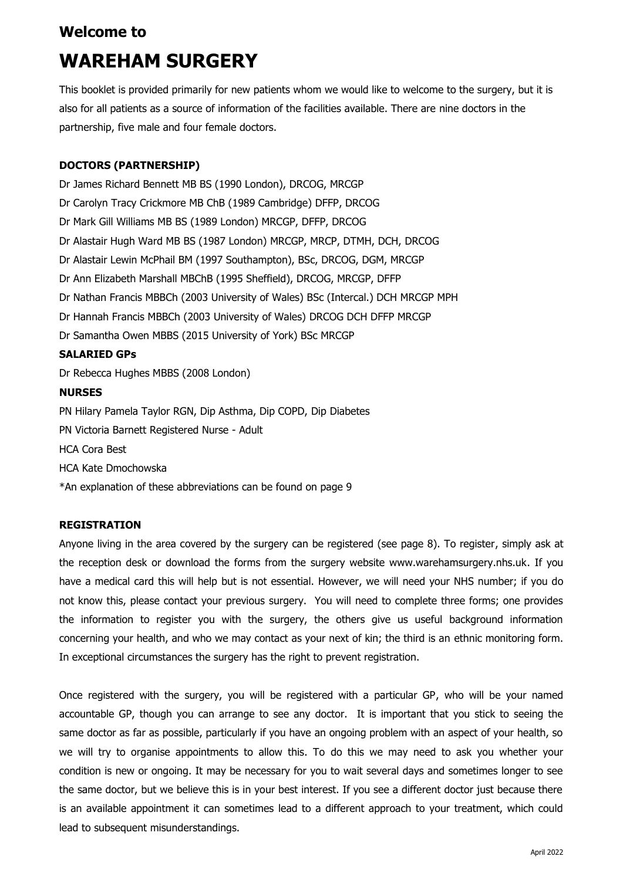## **Welcome to**

# **WAREHAM SURGERY**

This booklet is provided primarily for new patients whom we would like to welcome to the surgery, but it is also for all patients as a source of information of the facilities available. There are nine doctors in the partnership, five male and four female doctors.

## **DOCTORS (PARTNERSHIP)**

Dr James Richard Bennett MB BS (1990 London), DRCOG, MRCGP Dr Carolyn Tracy Crickmore MB ChB (1989 Cambridge) DFFP, DRCOG Dr Mark Gill Williams MB BS (1989 London) MRCGP, DFFP, DRCOG Dr Alastair Hugh Ward MB BS (1987 London) MRCGP, MRCP, DTMH, DCH, DRCOG Dr Alastair Lewin McPhail BM (1997 Southampton), BSc, DRCOG, DGM, MRCGP Dr Ann Elizabeth Marshall MBChB (1995 Sheffield), DRCOG, MRCGP, DFFP Dr Nathan Francis MBBCh (2003 University of Wales) BSc (Intercal.) DCH MRCGP MPH Dr Hannah Francis MBBCh (2003 University of Wales) DRCOG DCH DFFP MRCGP Dr Samantha Owen MBBS (2015 University of York) BSc MRCGP **SALARIED GPs** Dr Rebecca Hughes MBBS (2008 London)

## **NURSES**

PN Hilary Pamela Taylor RGN, Dip Asthma, Dip COPD, Dip Diabetes PN Victoria Barnett Registered Nurse - Adult HCA Cora Best HCA Kate Dmochowska \*An explanation of these abbreviations can be found on page 9

## **REGISTRATION**

Anyone living in the area covered by the surgery can be registered (see page 8). To register, simply ask at the reception desk or download the forms from the surgery website www.warehamsurgery.nhs.uk. If you have a medical card this will help but is not essential. However, we will need your NHS number; if you do not know this, please contact your previous surgery. You will need to complete three forms; one provides the information to register you with the surgery, the others give us useful background information concerning your health, and who we may contact as your next of kin; the third is an ethnic monitoring form. In exceptional circumstances the surgery has the right to prevent registration.

Once registered with the surgery, you will be registered with a particular GP, who will be your named accountable GP, though you can arrange to see any doctor. It is important that you stick to seeing the same doctor as far as possible, particularly if you have an ongoing problem with an aspect of your health, so we will try to organise appointments to allow this. To do this we may need to ask you whether your condition is new or ongoing. It may be necessary for you to wait several days and sometimes longer to see the same doctor, but we believe this is in your best interest. If you see a different doctor just because there is an available appointment it can sometimes lead to a different approach to your treatment, which could lead to subsequent misunderstandings.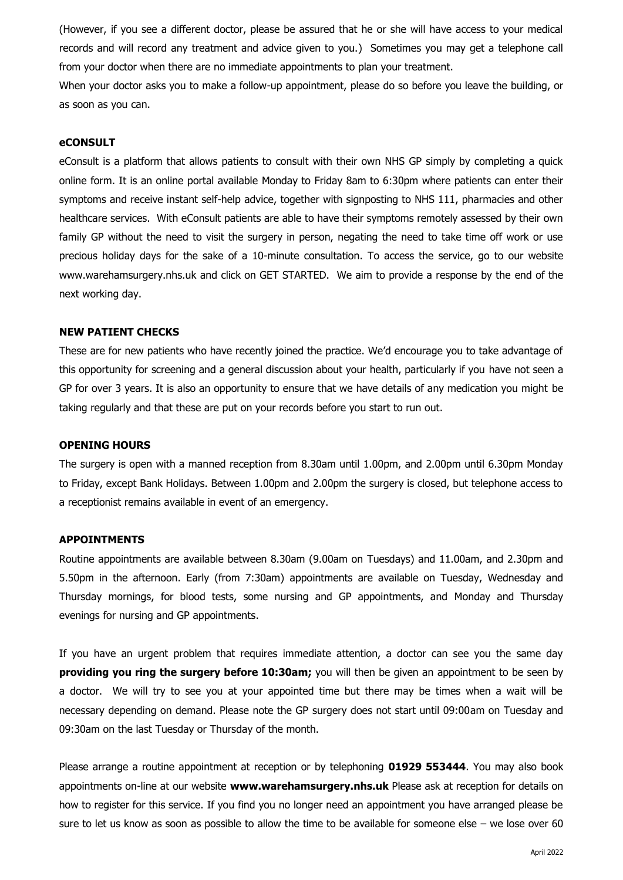(However, if you see a different doctor, please be assured that he or she will have access to your medical records and will record any treatment and advice given to you.) Sometimes you may get a telephone call from your doctor when there are no immediate appointments to plan your treatment.

When your doctor asks you to make a follow-up appointment, please do so before you leave the building, or as soon as you can.

## **eCONSULT**

eConsult is a platform that allows patients to consult with their own NHS GP simply by completing a quick online form. It is an online portal available Monday to Friday 8am to 6:30pm where patients can enter their symptoms and receive instant self-help advice, together with signposting to NHS 111, pharmacies and other healthcare services. With eConsult patients are able to have their symptoms remotely assessed by their own family GP without the need to visit the surgery in person, negating the need to take time off work or use precious holiday days for the sake of a 10-minute consultation. To access the service, go to our website www.warehamsurgery.nhs.uk and click on GET STARTED. We aim to provide a response by the end of the next working day.

#### **NEW PATIENT CHECKS**

These are for new patients who have recently joined the practice. We'd encourage you to take advantage of this opportunity for screening and a general discussion about your health, particularly if you have not seen a GP for over 3 years. It is also an opportunity to ensure that we have details of any medication you might be taking regularly and that these are put on your records before you start to run out.

#### **OPENING HOURS**

The surgery is open with a manned reception from 8.30am until 1.00pm, and 2.00pm until 6.30pm Monday to Friday, except Bank Holidays. Between 1.00pm and 2.00pm the surgery is closed, but telephone access to a receptionist remains available in event of an emergency.

#### **APPOINTMENTS**

Routine appointments are available between 8.30am (9.00am on Tuesdays) and 11.00am, and 2.30pm and 5.50pm in the afternoon. Early (from 7:30am) appointments are available on Tuesday, Wednesday and Thursday mornings, for blood tests, some nursing and GP appointments, and Monday and Thursday evenings for nursing and GP appointments.

If you have an urgent problem that requires immediate attention, a doctor can see you the same day **providing you ring the surgery before 10:30am;** you will then be given an appointment to be seen by a doctor.We will try to see you at your appointed time but there may be times when a wait will be necessary depending on demand. Please note the GP surgery does not start until 09:00am on Tuesday and 09:30am on the last Tuesday or Thursday of the month.

Please arrange a routine appointment at reception or by telephoning **01929 553444**. You may also book appointments on-line at our website **www.warehamsurgery.nhs.uk** Please ask at reception for details on how to register for this service. If you find you no longer need an appointment you have arranged please be sure to let us know as soon as possible to allow the time to be available for someone else – we lose over 60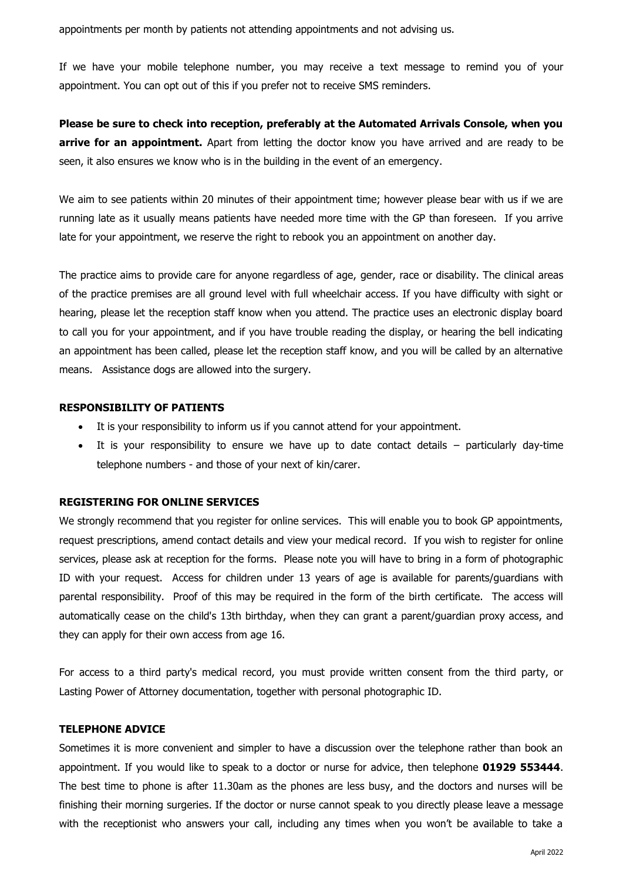appointments per month by patients not attending appointments and not advising us.

If we have your mobile telephone number, you may receive a text message to remind you of your appointment. You can opt out of this if you prefer not to receive SMS reminders.

**Please be sure to check into reception, preferably at the Automated Arrivals Console, when you arrive for an appointment.** Apart from letting the doctor know you have arrived and are ready to be seen, it also ensures we know who is in the building in the event of an emergency.

We aim to see patients within 20 minutes of their appointment time; however please bear with us if we are running late as it usually means patients have needed more time with the GP than foreseen. If you arrive late for your appointment, we reserve the right to rebook you an appointment on another day.

The practice aims to provide care for anyone regardless of age, gender, race or disability. The clinical areas of the practice premises are all ground level with full wheelchair access. If you have difficulty with sight or hearing, please let the reception staff know when you attend. The practice uses an electronic display board to call you for your appointment, and if you have trouble reading the display, or hearing the bell indicating an appointment has been called, please let the reception staff know, and you will be called by an alternative means. Assistance dogs are allowed into the surgery.

#### **RESPONSIBILITY OF PATIENTS**

- It is your responsibility to inform us if you cannot attend for your appointment.
- It is your responsibility to ensure we have up to date contact details particularly day-time telephone numbers - and those of your next of kin/carer.

## **REGISTERING FOR ONLINE SERVICES**

We strongly recommend that you register for online services. This will enable you to book GP appointments, request prescriptions, amend contact details and view your medical record. If you wish to register for online services, please ask at reception for the forms. Please note you will have to bring in a form of photographic ID with your request. Access for children under 13 years of age is available for parents/guardians with parental responsibility. Proof of this may be required in the form of the birth certificate. The access will automatically cease on the child's 13th birthday, when they can grant a parent/guardian proxy access, and they can apply for their own access from age 16.

For access to a third party's medical record, you must provide written consent from the third party, or Lasting Power of Attorney documentation, together with personal photographic ID.

#### **TELEPHONE ADVICE**

Sometimes it is more convenient and simpler to have a discussion over the telephone rather than book an appointment. If you would like to speak to a doctor or nurse for advice, then telephone **01929 553444**. The best time to phone is after 11.30am as the phones are less busy, and the doctors and nurses will be finishing their morning surgeries. If the doctor or nurse cannot speak to you directly please leave a message with the receptionist who answers your call, including any times when you won't be available to take a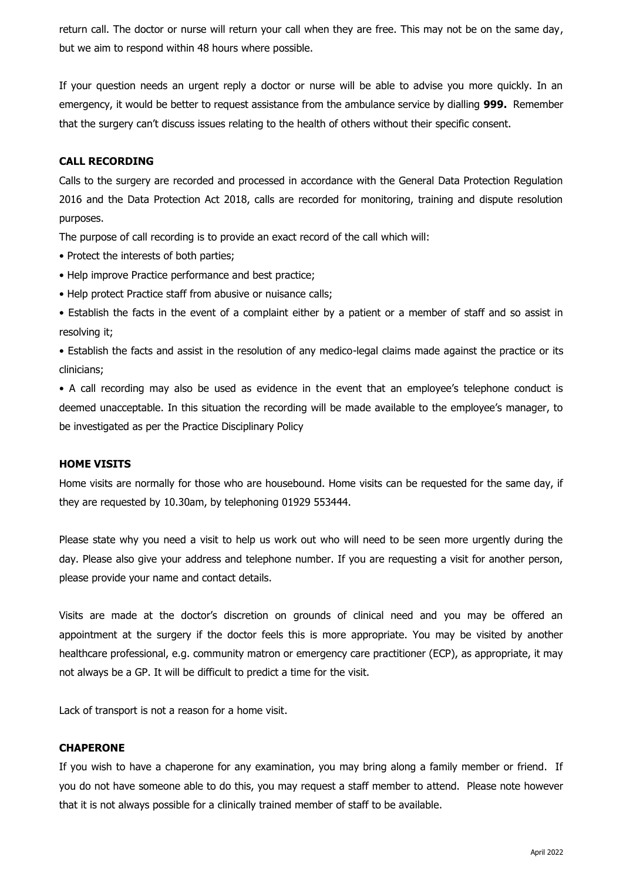return call. The doctor or nurse will return your call when they are free. This may not be on the same day, but we aim to respond within 48 hours where possible.

If your question needs an urgent reply a doctor or nurse will be able to advise you more quickly. In an emergency, it would be better to request assistance from the ambulance service by dialling **999.** Remember that the surgery can't discuss issues relating to the health of others without their specific consent.

## **CALL RECORDING**

Calls to the surgery are recorded and processed in accordance with the General Data Protection Regulation 2016 and the Data Protection Act 2018, calls are recorded for monitoring, training and dispute resolution purposes.

The purpose of call recording is to provide an exact record of the call which will:

- Protect the interests of both parties;
- Help improve Practice performance and best practice;
- Help protect Practice staff from abusive or nuisance calls;

• Establish the facts in the event of a complaint either by a patient or a member of staff and so assist in resolving it;

• Establish the facts and assist in the resolution of any medico-legal claims made against the practice or its clinicians;

• A call recording may also be used as evidence in the event that an employee's telephone conduct is deemed unacceptable. In this situation the recording will be made available to the employee's manager, to be investigated as per the Practice Disciplinary Policy

## **HOME VISITS**

Home visits are normally for those who are housebound. Home visits can be requested for the same day, if they are requested by 10.30am, by telephoning 01929 553444.

Please state why you need a visit to help us work out who will need to be seen more urgently during the day. Please also give your address and telephone number. If you are requesting a visit for another person, please provide your name and contact details.

Visits are made at the doctor's discretion on grounds of clinical need and you may be offered an appointment at the surgery if the doctor feels this is more appropriate. You may be visited by another healthcare professional, e.g. community matron or emergency care practitioner (ECP), as appropriate, it may not always be a GP. It will be difficult to predict a time for the visit.

Lack of transport is not a reason for a home visit.

## **CHAPERONE**

If you wish to have a chaperone for any examination, you may bring along a family member or friend. If you do not have someone able to do this, you may request a staff member to attend. Please note however that it is not always possible for a clinically trained member of staff to be available.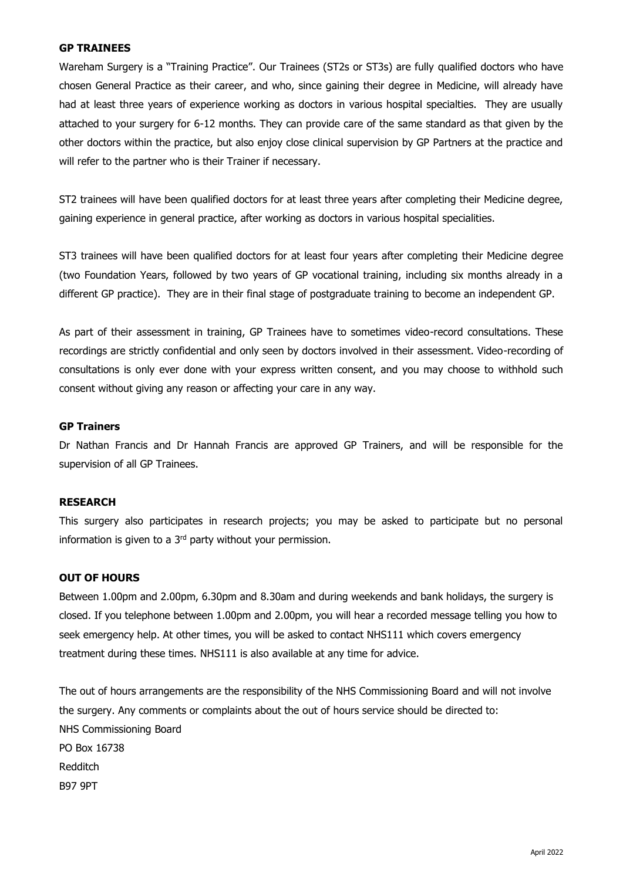## **GP TRAINEES**

Wareham Surgery is a "Training Practice". Our Trainees (ST2s or ST3s) are fully qualified doctors who have chosen General Practice as their career, and who, since gaining their degree in Medicine, will already have had at least three years of experience working as doctors in various hospital specialties. They are usually attached to your surgery for 6-12 months. They can provide care of the same standard as that given by the other doctors within the practice, but also enjoy close clinical supervision by GP Partners at the practice and will refer to the partner who is their Trainer if necessary.

ST2 trainees will have been qualified doctors for at least three years after completing their Medicine degree, gaining experience in general practice, after working as doctors in various hospital specialities.

ST3 trainees will have been qualified doctors for at least four years after completing their Medicine degree (two Foundation Years, followed by two years of GP vocational training, including six months already in a different GP practice). They are in their final stage of postgraduate training to become an independent GP.

As part of their assessment in training, GP Trainees have to sometimes video-record consultations. These recordings are strictly confidential and only seen by doctors involved in their assessment. Video-recording of consultations is only ever done with your express written consent, and you may choose to withhold such consent without giving any reason or affecting your care in any way.

#### **GP Trainers**

Dr Nathan Francis and Dr Hannah Francis are approved GP Trainers, and will be responsible for the supervision of all GP Trainees.

## **RESEARCH**

This surgery also participates in research projects; you may be asked to participate but no personal information is given to a  $3<sup>rd</sup>$  party without your permission.

#### **OUT OF HOURS**

Between 1.00pm and 2.00pm, 6.30pm and 8.30am and during weekends and bank holidays, the surgery is closed. If you telephone between 1.00pm and 2.00pm, you will hear a recorded message telling you how to seek emergency help. At other times, you will be asked to contact NHS111 which covers emergency treatment during these times. NHS111 is also available at any time for advice.

The out of hours arrangements are the responsibility of the NHS Commissioning Board and will not involve the surgery. Any comments or complaints about the out of hours service should be directed to: NHS Commissioning Board PO Box 16738 Redditch B97 9PT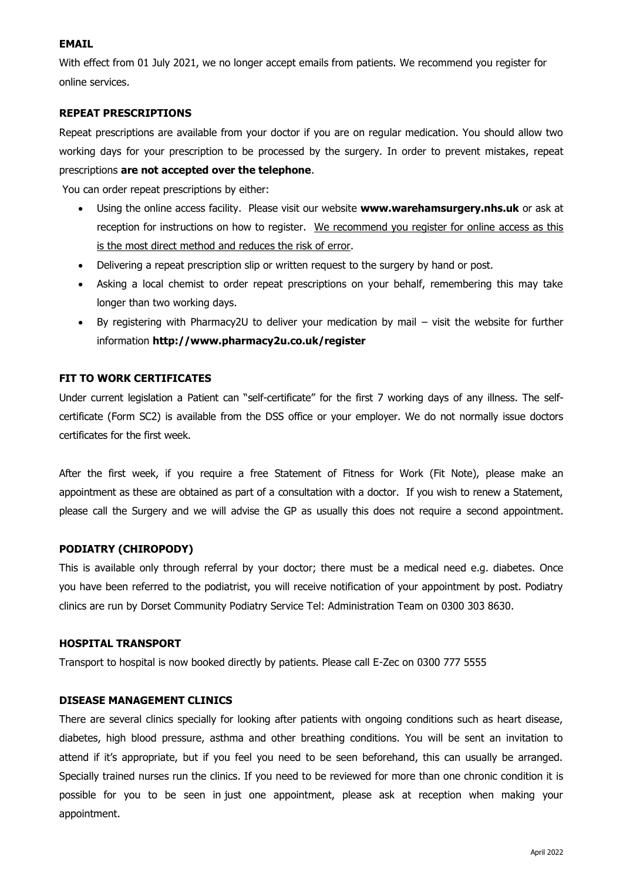## **EMAIL**

With effect from 01 July 2021, we no longer accept emails from patients. We recommend you register for online services.

## **REPEAT PRESCRIPTIONS**

Repeat prescriptions are available from your doctor if you are on regular medication. You should allow two working days for your prescription to be processed by the surgery. In order to prevent mistakes, repeat prescriptions **are not accepted over the telephone**.

You can order repeat prescriptions by either:

- Using the online access facility. Please visit our website **www.warehamsurgery.nhs.uk** or ask at reception for instructions on how to register. We recommend you register for online access as this is the most direct method and reduces the risk of error.
- Delivering a repeat prescription slip or written request to the surgery by hand or post.
- Asking a local chemist to order repeat prescriptions on your behalf, remembering this may take longer than two working days.
- By registering with Pharmacy2U to deliver your medication by mail visit the website for further information **http://www.pharmacy2u.co.uk/register**

## **FIT TO WORK CERTIFICATES**

Under current legislation a Patient can "self-certificate" for the first 7 working days of any illness. The selfcertificate (Form SC2) is available from the DSS office or your employer. We do not normally issue doctors certificates for the first week.

After the first week, if you require a free Statement of Fitness for Work (Fit Note), please make an appointment as these are obtained as part of a consultation with a doctor. If you wish to renew a Statement, please call the Surgery and we will advise the GP as usually this does not require a second appointment.

## **PODIATRY (CHIROPODY)**

This is available only through referral by your doctor; there must be a medical need e.g. diabetes. Once you have been referred to the podiatrist, you will receive notification of your appointment by post. Podiatry clinics are run by Dorset Community Podiatry Service Tel: Administration Team on 0300 303 8630.

## **HOSPITAL TRANSPORT**

Transport to hospital is now booked directly by patients. Please call E-Zec on 0300 777 5555

## **DISEASE MANAGEMENT CLINICS**

There are several clinics specially for looking after patients with ongoing conditions such as heart disease, diabetes, high blood pressure, asthma and other breathing conditions. You will be sent an invitation to attend if it's appropriate, but if you feel you need to be seen beforehand, this can usually be arranged. Specially trained nurses run the clinics. If you need to be reviewed for more than one chronic condition it is possible for you to be seen in just one appointment, please ask at reception when making your appointment.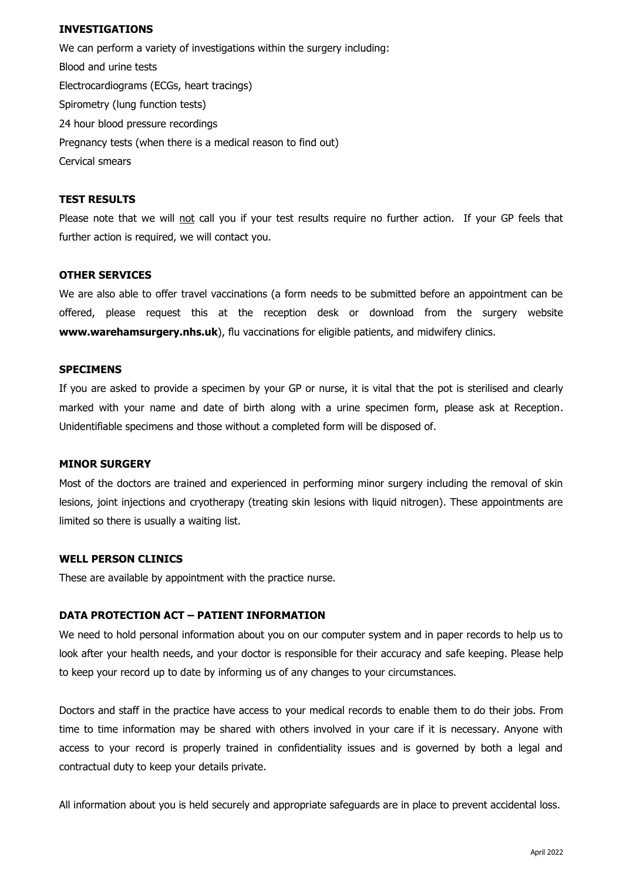## **INVESTIGATIONS**

We can perform a variety of investigations within the surgery including: Blood and urine tests Electrocardiograms (ECGs, heart tracings) Spirometry (lung function tests) 24 hour blood pressure recordings Pregnancy tests (when there is a medical reason to find out) Cervical smears

#### **TEST RESULTS**

Please note that we will not call you if your test results require no further action. If your GP feels that further action is required, we will contact you.

#### **OTHER SERVICES**

We are also able to offer travel vaccinations (a form needs to be submitted before an appointment can be offered, please request this at the reception desk or download from the surgery website **www.warehamsurgery.nhs.uk**), flu vaccinations for eligible patients, and midwifery clinics.

#### **SPECIMENS**

If you are asked to provide a specimen by your GP or nurse, it is vital that the pot is sterilised and clearly marked with your name and date of birth along with a urine specimen form, please ask at Reception. Unidentifiable specimens and those without a completed form will be disposed of.

#### **MINOR SURGERY**

Most of the doctors are trained and experienced in performing minor surgery including the removal of skin lesions, joint injections and cryotherapy (treating skin lesions with liquid nitrogen). These appointments are limited so there is usually a waiting list.

#### **WELL PERSON CLINICS**

These are available by appointment with the practice nurse.

## **DATA PROTECTION ACT – PATIENT INFORMATION**

We need to hold personal information about you on our computer system and in paper records to help us to look after your health needs, and your doctor is responsible for their accuracy and safe keeping. Please help to keep your record up to date by informing us of any changes to your circumstances.

Doctors and staff in the practice have access to your medical records to enable them to do their jobs. From time to time information may be shared with others involved in your care if it is necessary. Anyone with access to your record is properly trained in confidentiality issues and is governed by both a legal and contractual duty to keep your details private.

All information about you is held securely and appropriate safeguards are in place to prevent accidental loss.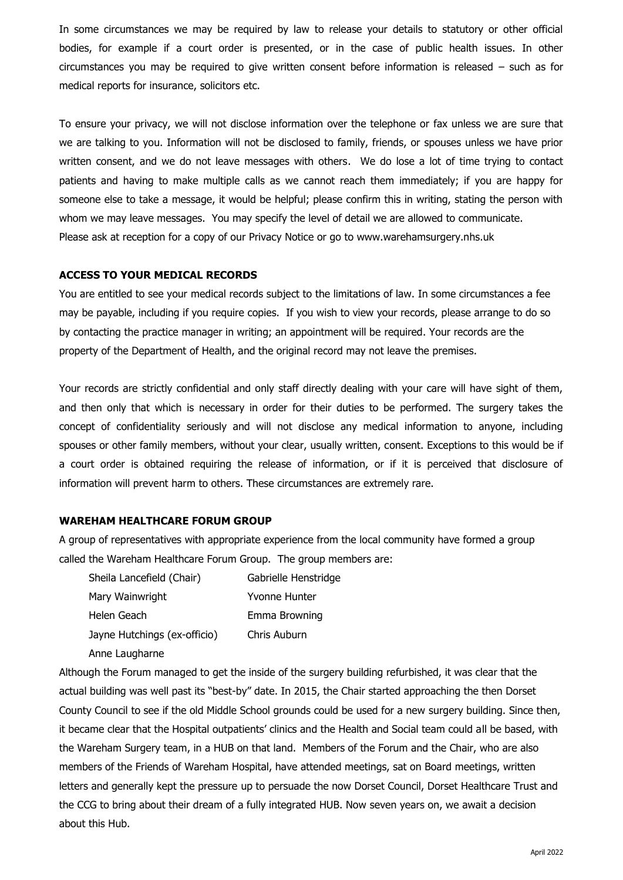In some circumstances we may be required by law to release your details to statutory or other official bodies, for example if a court order is presented, or in the case of public health issues. In other circumstances you may be required to give written consent before information is released – such as for medical reports for insurance, solicitors etc.

To ensure your privacy, we will not disclose information over the telephone or fax unless we are sure that we are talking to you. Information will not be disclosed to family, friends, or spouses unless we have prior written consent, and we do not leave messages with others. We do lose a lot of time trying to contact patients and having to make multiple calls as we cannot reach them immediately; if you are happy for someone else to take a message, it would be helpful; please confirm this in writing, stating the person with whom we may leave messages. You may specify the level of detail we are allowed to communicate. Please ask at reception for a copy of our Privacy Notice or go to www.warehamsurgery.nhs.uk

## **ACCESS TO YOUR MEDICAL RECORDS**

You are entitled to see your medical records subject to the limitations of law. In some circumstances a fee may be payable, including if you require copies. If you wish to view your records, please arrange to do so by contacting the practice manager in writing; an appointment will be required. Your records are the property of the Department of Health, and the original record may not leave the premises.

Your records are strictly confidential and only staff directly dealing with your care will have sight of them, and then only that which is necessary in order for their duties to be performed. The surgery takes the concept of confidentiality seriously and will not disclose any medical information to anyone, including spouses or other family members, without your clear, usually written, consent. Exceptions to this would be if a court order is obtained requiring the release of information, or if it is perceived that disclosure of information will prevent harm to others. These circumstances are extremely rare.

## **WAREHAM HEALTHCARE FORUM GROUP**

A group of representatives with appropriate experience from the local community have formed a group called the Wareham Healthcare Forum Group. The group members are:

| Sheila Lancefield (Chair)    | Gabrielle Henstridge |
|------------------------------|----------------------|
| Mary Wainwright              | Yvonne Hunter        |
| Helen Geach                  | Emma Browning        |
| Jayne Hutchings (ex-officio) | Chris Auburn         |
| Anne Laugharne               |                      |

Although the Forum managed to get the inside of the surgery building refurbished, it was clear that the actual building was well past its "best-by" date. In 2015, the Chair started approaching the then Dorset County Council to see if the old Middle School grounds could be used for a new surgery building. Since then, it became clear that the Hospital outpatients' clinics and the Health and Social team could all be based, with the Wareham Surgery team, in a HUB on that land. Members of the Forum and the Chair, who are also members of the Friends of Wareham Hospital, have attended meetings, sat on Board meetings, written letters and generally kept the pressure up to persuade the now Dorset Council, Dorset Healthcare Trust and the CCG to bring about their dream of a fully integrated HUB. Now seven years on, we await a decision about this Hub.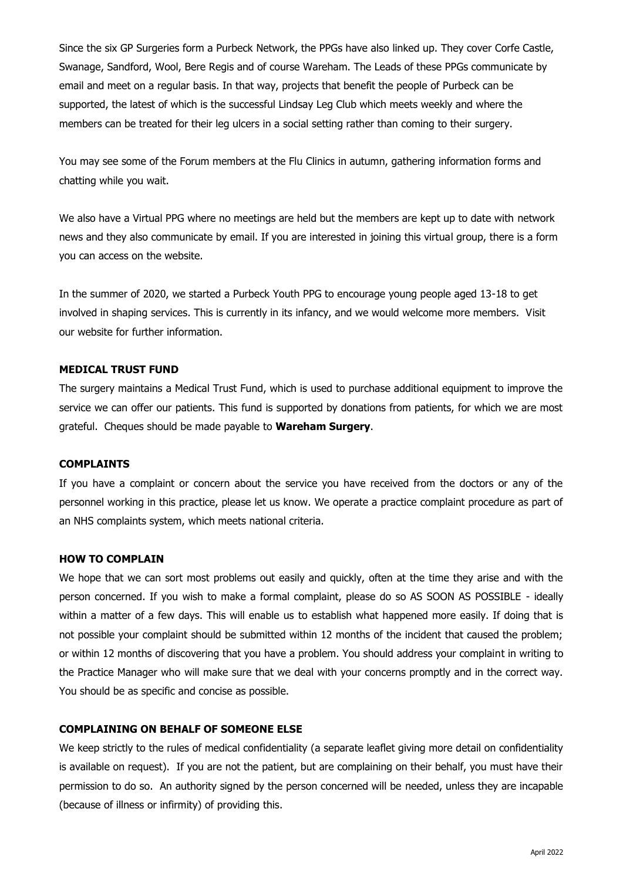Since the six GP Surgeries form a Purbeck Network, the PPGs have also linked up. They cover Corfe Castle, Swanage, Sandford, Wool, Bere Regis and of course Wareham. The Leads of these PPGs communicate by email and meet on a regular basis. In that way, projects that benefit the people of Purbeck can be supported, the latest of which is the successful Lindsay Leg Club which meets weekly and where the members can be treated for their leg ulcers in a social setting rather than coming to their surgery.

You may see some of the Forum members at the Flu Clinics in autumn, gathering information forms and chatting while you wait.

We also have a Virtual PPG where no meetings are held but the members are kept up to date with network news and they also communicate by email. If you are interested in joining this virtual group, there is a form you can access on the website.

In the summer of 2020, we started a Purbeck Youth PPG to encourage young people aged 13-18 to get involved in shaping services. This is currently in its infancy, and we would welcome more members. Visit our website for further information.

## **MEDICAL TRUST FUND**

The surgery maintains a Medical Trust Fund, which is used to purchase additional equipment to improve the service we can offer our patients. This fund is supported by donations from patients, for which we are most grateful. Cheques should be made payable to **Wareham Surgery**.

## **COMPLAINTS**

If you have a complaint or concern about the service you have received from the doctors or any of the personnel working in this practice, please let us know. We operate a practice complaint procedure as part of an NHS complaints system, which meets national criteria.

#### **HOW TO COMPLAIN**

We hope that we can sort most problems out easily and quickly, often at the time they arise and with the person concerned. If you wish to make a formal complaint, please do so AS SOON AS POSSIBLE - ideally within a matter of a few days. This will enable us to establish what happened more easily. If doing that is not possible your complaint should be submitted within 12 months of the incident that caused the problem; or within 12 months of discovering that you have a problem. You should address your complaint in writing to the Practice Manager who will make sure that we deal with your concerns promptly and in the correct way. You should be as specific and concise as possible.

## **COMPLAINING ON BEHALF OF SOMEONE ELSE**

We keep strictly to the rules of medical confidentiality (a separate leaflet giving more detail on confidentiality is available on request). If you are not the patient, but are complaining on their behalf, you must have their permission to do so. An authority signed by the person concerned will be needed, unless they are incapable (because of illness or infirmity) of providing this.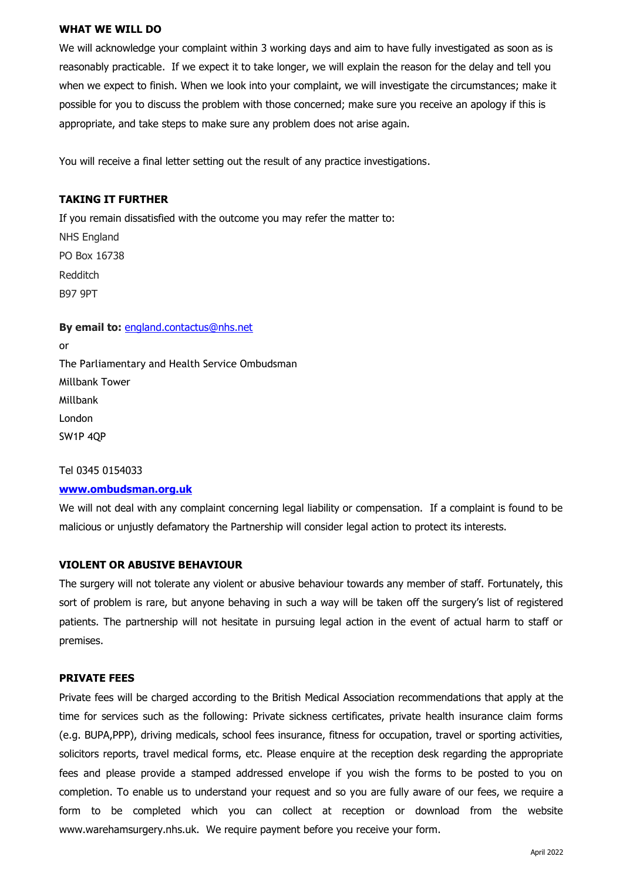#### **WHAT WE WILL DO**

We will acknowledge your complaint within 3 working days and aim to have fully investigated as soon as is reasonably practicable. If we expect it to take longer, we will explain the reason for the delay and tell you when we expect to finish. When we look into your complaint, we will investigate the circumstances; make it possible for you to discuss the problem with those concerned; make sure you receive an apology if this is appropriate, and take steps to make sure any problem does not arise again.

You will receive a final letter setting out the result of any practice investigations.

## **TAKING IT FURTHER**

If you remain dissatisfied with the outcome you may refer the matter to: NHS England PO Box 16738 Redditch B97 9PT

**By email to:** [england.contactus@nhs.net](mailto:england.contactus@nhs.net) or The Parliamentary and Health Service Ombudsman Millbank Tower Millbank London SW1P 4QP

#### Tel 0345 0154033

#### **[www.ombudsman.org.uk](http://www.ombudsman.org.uk/)**

We will not deal with any complaint concerning legal liability or compensation. If a complaint is found to be malicious or unjustly defamatory the Partnership will consider legal action to protect its interests.

#### **VIOLENT OR ABUSIVE BEHAVIOUR**

The surgery will not tolerate any violent or abusive behaviour towards any member of staff. Fortunately, this sort of problem is rare, but anyone behaving in such a way will be taken off the surgery's list of registered patients. The partnership will not hesitate in pursuing legal action in the event of actual harm to staff or premises.

#### **PRIVATE FEES**

Private fees will be charged according to the British Medical Association recommendations that apply at the time for services such as the following: Private sickness certificates, private health insurance claim forms (e.g. BUPA,PPP), driving medicals, school fees insurance, fitness for occupation, travel or sporting activities, solicitors reports, travel medical forms, etc. Please enquire at the reception desk regarding the appropriate fees and please provide a stamped addressed envelope if you wish the forms to be posted to you on completion. To enable us to understand your request and so you are fully aware of our fees, we require a form to be completed which you can collect at reception or download from the website www.warehamsurgery.nhs.uk. We require payment before you receive your form.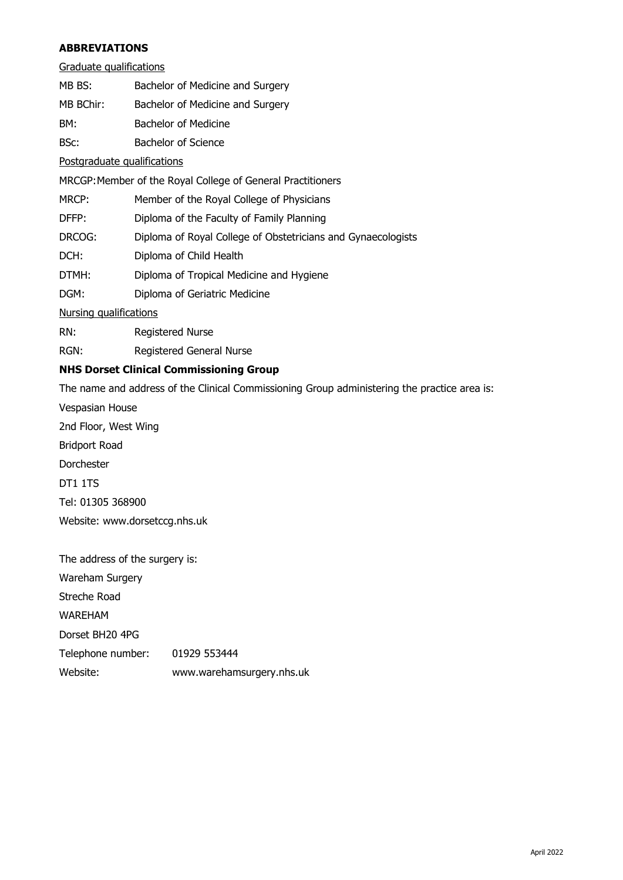## **ABBREVIATIONS**

| MB BS: | Bachelor of Medicine and Surgery |  |
|--------|----------------------------------|--|
|        |                                  |  |

MB BChir: Bachelor of Medicine and Surgery

BM: Bachelor of Medicine

BSc: Bachelor of Science

Postgraduate qualifications

MRCGP:Member of the Royal College of General Practitioners

MRCP: Member of the Royal College of Physicians

DFFP: Diploma of the Faculty of Family Planning

DRCOG: Diploma of Royal College of Obstetricians and Gynaecologists

DCH: Diploma of Child Health

DTMH: Diploma of Tropical Medicine and Hygiene

DGM: Diploma of Geriatric Medicine

Nursing qualifications

RN: Registered Nurse

RGN: Registered General Nurse

## **NHS Dorset Clinical Commissioning Group**

The name and address of the Clinical Commissioning Group administering the practice area is:

Vespasian House 2nd Floor, West Wing Bridport Road Dorchester DT1 1TS Tel: 01305 368900 Website: www.dorsetccg.nhs.uk

The address of the surgery is: Wareham Surgery Streche Road WAREHAM Dorset BH20 4PG Telephone number: 01929 553444 Website: www.warehamsurgery.nhs.uk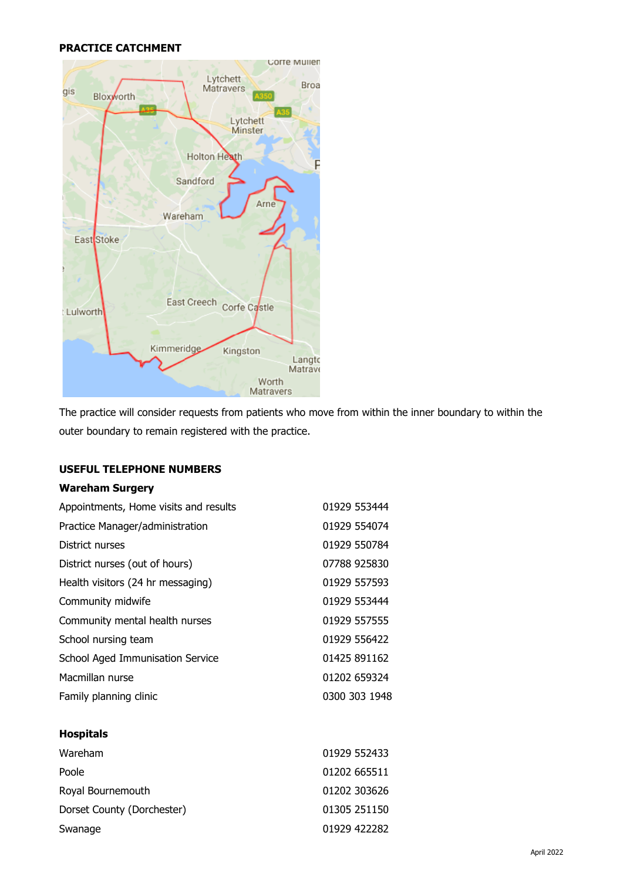## **PRACTICE CATCHMENT**



The practice will consider requests from patients who move from within the inner boundary to within the outer boundary to remain registered with the practice.

## **USEFUL TELEPHONE NUMBERS**

## **Wareham Surgery**

| Appointments, Home visits and results | 01929 553444  |
|---------------------------------------|---------------|
| Practice Manager/administration       | 01929 554074  |
| District nurses                       | 01929 550784  |
| District nurses (out of hours)        | 07788 925830  |
| Health visitors (24 hr messaging)     | 01929 557593  |
| Community midwife                     | 01929 553444  |
| Community mental health nurses        | 01929 557555  |
| School nursing team                   | 01929 556422  |
| School Aged Immunisation Service      | 01425 891162  |
| Macmillan nurse                       | 01202 659324  |
| Family planning clinic                | 0300 303 1948 |

### **Hospitals**

| Wareham                    | 01929 552433 |
|----------------------------|--------------|
| Poole                      | 01202 665511 |
| Royal Bournemouth          | 01202 303626 |
| Dorset County (Dorchester) | 01305 251150 |
| Swanage                    | 01929 422282 |